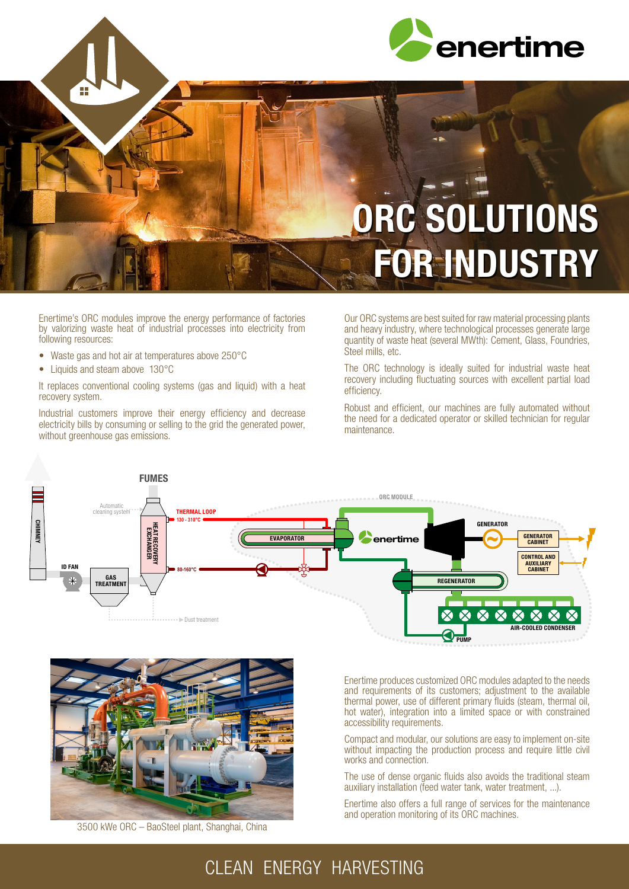

## ORC SOLUTIONS FOR INDUSTRY

Enertime's ORC modules improve the energy performance of factories by valorizing waste heat of industrial processes into electricity from following resources:

- Waste gas and hot air at temperatures above 250°C
- Liquids and steam above 130°C

It replaces conventional cooling systems (gas and liquid) with a heat recovery system.

Industrial customers improve their energy efficiency and decrease electricity bills by consuming or selling to the grid the generated power, without greenhouse gas emissions.

Our ORC systems are best suited for raw material processing plants and heavy industry, where technological processes generate large quantity of waste heat (several MWth): Cement, Glass, Foundries, Steel mills, etc.

The ORC technology is ideally suited for industrial waste heat recovery including fluctuating sources with excellent partial load efficiency.

Robust and efficient, our machines are fully automated without the need for a dedicated operator or skilled technician for regular maintenance.





3500 kWe ORC – BaoSteel plant, Shanghai, China

Enertime produces customized ORC modules adapted to the needs and requirements of its customers; adjustment to the available thermal power, use of different primary fluids (steam, thermal oil, hot water), integration into a limited space or with constrained accessibility requirements.

Compact and modular, our solutions are easy to implement on-site without impacting the production process and require little civil works and connection.

The use of dense organic fluids also avoids the traditional steam auxiliary installation (feed water tank, water treatment, ...).

Enertime also offers a full range of services for the maintenance and operation monitoring of its ORC machines.

## CLEAN ENERGY HARVESTING